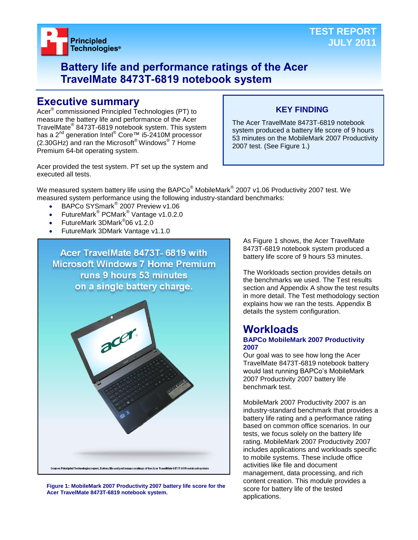

# **Battery life and performance ratings of the Acer TravelMate 8473T-6819 notebook system**

# **Executive summary**

Acer® commissioned Principled Technologies (PT) to measure the battery life and performance of the Acer TravelMate® 8473T-6819 notebook system. This system has a 2<sup>nd</sup> generation Intel<sup>®</sup> Core™ i5-2410M processor  $(2.30$ GHz) and ran the Microsoft® Windows®  $\overline{7}$  Home Premium 64-bit operating system.

# **KEY FINDING**

The Acer TravelMate 8473T-6819 notebook system produced a battery life score of 9 hours 53 minutes on the MobileMark 2007 Productivity 2007 test. (See Figure 1.)

Acer provided the test system. PT set up the system and executed all tests.

We measured system battery life using the BAPCo $^\circ$  MobileMark $^\circ$  2007 v1.06 Productivity 2007 test. We measured system performance using the following industry-standard benchmarks:

- BAPCo SYSmark<sup>®</sup> 2007 Preview v1.06
- FutureMark<sup>®</sup> PCMark<sup>®</sup> Vantage v1.0.2.0
- FutureMark 3DMark<sup>®</sup>06 v1.2.0
- FutureMark 3DMark Vantage v1.1.0

Acer TravelMate 8473T- 6819 with **Microsoft Windows 7 Home Premium** runs 9 hours 53 minutes on a single battery charge.

**Figure 1: MobileMark 2007 Productivity 2007 battery life score for the Acer TravelMate 8473T-6819 notebook system.**

Source: Principled Technologies report, Battery life and performance ratings of the Acer TravelMate 8473T-6819 notebooks

As Figure 1 shows, the Acer TravelMate 8473T-6819 notebook system produced a battery life score of 9 hours 53 minutes.

The Workloads section provides details on the benchmarks we used. The Test results section and Appendix A show the test results in more detail. The Test methodology section explains how we ran the tests. Appendix B details the system configuration.

### **Workloads BAPCo MobileMark 2007 Productivity 2007**

Our goal was to see how long the Acer TravelMate 8473T-6819 notebook battery would last running BAPCo's MobileMark 2007 Productivity 2007 battery life benchmark test.

MobileMark 2007 Productivity 2007 is an industry-standard benchmark that provides a battery life rating and a performance rating based on common office scenarios. In our tests, we focus solely on the battery life rating. MobileMark 2007 Productivity 2007 includes applications and workloads specific to mobile systems. These include office activities like file and document management, data processing, and rich content creation. This module provides a score for battery life of the tested applications.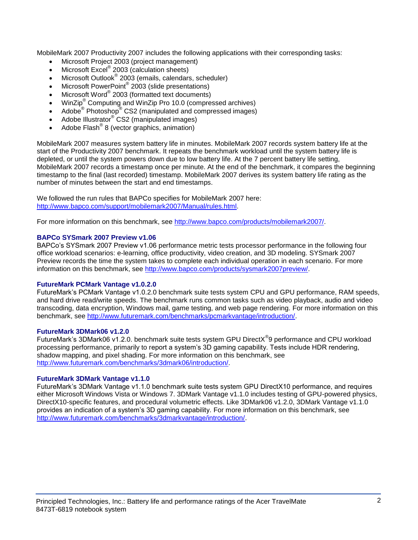MobileMark 2007 Productivity 2007 includes the following applications with their corresponding tasks:

- Microsoft Project 2003 (project management)
- Microsoft Excel<sup>®</sup> 2003 (calculation sheets)
- Microsoft Outlook<sup>®</sup> 2003 (emails, calendars, scheduler)
- Microsoft PowerPoint® 2003 (slide presentations)
- Microsoft Word® 2003 (formatted text documents)
- WinZip® Computing and WinZip Pro 10.0 (compressed archives)
- Adobe  $^{\circ}$  Photoshop $^{\circ}$  CS2 (manipulated and compressed images)
- Adobe Illustrator® CS2 (manipulated images)
- $\bullet$  Adobe Flash<sup>®</sup> 8 (vector graphics, animation)

MobileMark 2007 measures system battery life in minutes. MobileMark 2007 records system battery life at the start of the Productivity 2007 benchmark. It repeats the benchmark workload until the system battery life is depleted, or until the system powers down due to low battery life. At the 7 percent battery life setting, MobileMark 2007 records a timestamp once per minute. At the end of the benchmark, it compares the beginning timestamp to the final (last recorded) timestamp. MobileMark 2007 derives its system battery life rating as the number of minutes between the start and end timestamps.

We followed the run rules that BAPCo specifies for MobileMark 2007 here: [http://www.bapco.com/support/mobilemark2007/Manual/rules.html.](http://www.bapco.com/support/mobilemark2007/Manual/rules.html)

For more information on this benchmark, see [http://www.bapco.com/products/mobilemark2007/.](http://www.bapco.com/products/mobilemark2007/)

#### **BAPCo SYSmark 2007 Preview v1.06**

BAPCo's SYSmark 2007 Preview v1.06 performance metric tests processor performance in the following four office workload scenarios: e-learning, office productivity, video creation, and 3D modeling. SYSmark 2007 Preview records the time the system takes to complete each individual operation in each scenario. For more information on this benchmark, see [http://www.bapco.com/products/sysmark2007preview/.](http://www.bapco.com/products/sysmark2007preview/)

#### **FutureMark PCMark Vantage v1.0.2.0**

FutureMark's PCMark Vantage v1.0.2.0 benchmark suite tests system CPU and GPU performance, RAM speeds, and hard drive read/write speeds. The benchmark runs common tasks such as video playback, audio and video transcoding, data encryption, Windows mail, game testing, and web page rendering. For more information on this benchmark, see [http://www.futuremark.com/benchmarks/pcmarkvantage/introduction/.](http://www.futuremark.com/benchmarks/pcmarkvantage/introduction/)

#### **FutureMark 3DMark06 v1.2.0**

FutureMark's 3DMark06 v1.2.0. benchmark suite tests system GPU DirectX<sup>®</sup>9 performance and CPU workload processing performance, primarily to report a system's 3D gaming capability. Tests include HDR rendering, shadow mapping, and pixel shading. For more information on this benchmark, see [http://www.futuremark.com/benchmarks/3dmark06/introduction/.](http://www.futuremark.com/benchmarks/3dmark06/introduction/)

#### **FutureMark 3DMark Vantage v1.1.0**

FutureMark's 3DMark Vantage v1.1.0 benchmark suite tests system GPU DirectX10 performance, and requires either Microsoft Windows Vista or Windows 7. 3DMark Vantage v1.1.0 includes testing of GPU-powered physics, DirectX10-specific features, and procedural volumetric effects. Like 3DMark06 v1.2.0, 3DMark Vantage v1.1.0 provides an indication of a system's 3D gaming capability. For more information on this benchmark, see [http://www.futuremark.com/benchmarks/3dmarkvantage/introduction/.](http://www.futuremark.com/benchmarks/3dmarkvantage/introduction/)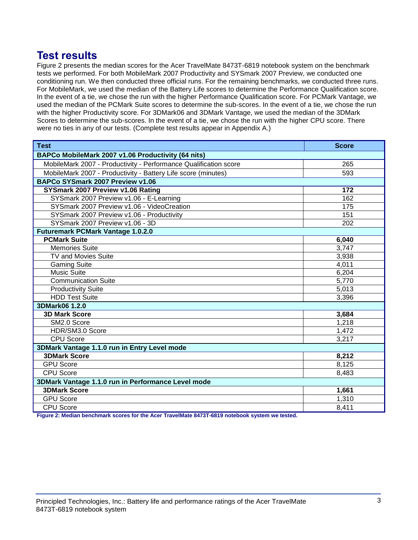# **Test results**

Figure 2 presents the median scores for the Acer TravelMate 8473T-6819 notebook system on the benchmark tests we performed. For both MobileMark 2007 Productivity and SYSmark 2007 Preview, we conducted one conditioning run. We then conducted three official runs. For the remaining benchmarks, we conducted three runs. For MobileMark, we used the median of the Battery Life scores to determine the Performance Qualification score. In the event of a tie, we chose the run with the higher Performance Qualification score. For PCMark Vantage, we used the median of the PCMark Suite scores to determine the sub-scores. In the event of a tie, we chose the run with the higher Productivity score. For 3DMark06 and 3DMark Vantage, we used the median of the 3DMark Scores to determine the sub-scores. In the event of a tie, we chose the run with the higher CPU score. There were no ties in any of our tests. (Complete test results appear in Appendix A.)

| <b>Test</b>                                                      | <b>Score</b> |  |
|------------------------------------------------------------------|--------------|--|
| BAPCo MobileMark 2007 v1.06 Productivity (64 nits)               |              |  |
| MobileMark 2007 - Productivity - Performance Qualification score | 265          |  |
| MobileMark 2007 - Productivity - Battery Life score (minutes)    | 593          |  |
| BAPCo SYSmark 2007 Preview v1.06                                 |              |  |
| SYSmark 2007 Preview v1.06 Rating                                | 172          |  |
| SYSmark 2007 Preview v1.06 - E-Learning                          | 162          |  |
| SYSmark 2007 Preview v1.06 - VideoCreation                       | 175          |  |
| SYSmark 2007 Preview v1.06 - Productivity                        | 151          |  |
| SYSmark 2007 Preview v1.06 - 3D                                  | 202          |  |
| <b>Futuremark PCMark Vantage 1.0.2.0</b>                         |              |  |
| <b>PCMark Suite</b>                                              | 6,040        |  |
| <b>Memories Suite</b>                                            | 3,747        |  |
| TV and Movies Suite                                              | 3,938        |  |
| <b>Gaming Suite</b>                                              | 4,011        |  |
| <b>Music Suite</b>                                               | 6,204        |  |
| <b>Communication Suite</b>                                       | 5,770        |  |
| <b>Productivity Suite</b>                                        | 5,013        |  |
| <b>HDD Test Suite</b>                                            | 3,396        |  |
| 3DMark06 1.2.0                                                   |              |  |
| <b>3D Mark Score</b>                                             | 3,684        |  |
| SM2.0 Score                                                      | 1,218        |  |
| HDR/SM3.0 Score                                                  | 1,472        |  |
| <b>CPU Score</b>                                                 | 3,217        |  |
| 3DMark Vantage 1.1.0 run in Entry Level mode                     |              |  |
| <b>3DMark Score</b>                                              | 8,212        |  |
| <b>GPU Score</b>                                                 | 8,125        |  |
| <b>CPU Score</b>                                                 | 8,483        |  |
| 3DMark Vantage 1.1.0 run in Performance Level mode               |              |  |
| <b>3DMark Score</b>                                              | 1,661        |  |
| <b>GPU Score</b>                                                 | 1,310        |  |
| <b>CPU Score</b>                                                 | 8,411        |  |

**Figure 2: Median benchmark scores for the Acer TravelMate 8473T-6819 notebook system we tested.**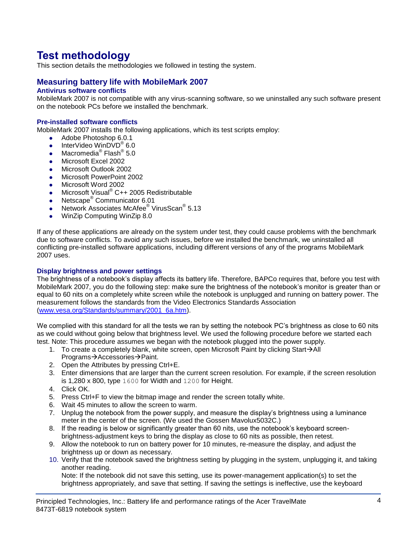# **Test methodology**

This section details the methodologies we followed in testing the system.

# **Measuring battery life with MobileMark 2007**

## **Antivirus software conflicts**

MobileMark 2007 is not compatible with any virus-scanning software, so we uninstalled any such software present on the notebook PCs before we installed the benchmark.

#### **Pre-installed software conflicts**

MobileMark 2007 installs the following applications, which its test scripts employ:

- Adobe Photoshop 6.0.1
- InterVideo WinDVD $^{\circ}$  6.0
- Macromedia® Flash® 5.0
- Microsoft Excel 2002
- Microsoft Outlook 2002
- **Microsoft PowerPoint 2002**
- Microsoft Word 2002
- Microsoft Visual<sup>®</sup> C++ 2005 Redistributable
- Netscape<sup>®</sup> Communicator 6.01
- Network Associates McAfee<sup>®</sup> VirusScan<sup>®</sup> 5.13
- WinZip Computing WinZip 8.0

If any of these applications are already on the system under test, they could cause problems with the benchmark due to software conflicts. To avoid any such issues, before we installed the benchmark, we uninstalled all conflicting pre-installed software applications, including different versions of any of the programs MobileMark 2007 uses.

#### **Display brightness and power settings**

The brightness of a notebook's display affects its battery life. Therefore, BAPCo requires that, before you test with MobileMark 2007, you do the following step: make sure the brightness of the notebook's monitor is greater than or equal to 60 nits on a completely white screen while the notebook is unplugged and running on battery power. The measurement follows the standards from the Video Electronics Standards Association [\(www.vesa.org/Standards/summary/2001\\_6a.htm\)](http://www.vesa.org/Standards/summary/2001_6a.htm).

We complied with this standard for all the tests we ran by setting the notebook PC's brightness as close to 60 nits as we could without going below that brightness level. We used the following procedure before we started each test. Note: This procedure assumes we began with the notebook plugged into the power supply.

- 1. To create a completely blank, white screen, open Microsoft Paint by clicking Start $\rightarrow$ All Programs→Accessories→Paint.
- 2. Open the Attributes by pressing Ctrl+E.
- 3. Enter dimensions that are larger than the current screen resolution. For example, if the screen resolution is 1,280 x 800, type 1600 for Width and 1200 for Height.
- 4. Click OK.
- 5. Press Ctrl+F to view the bitmap image and render the screen totally white.
- 6. Wait 45 minutes to allow the screen to warm.
- 7. Unplug the notebook from the power supply, and measure the display's brightness using a luminance meter in the center of the screen. (We used the Gossen Mavolux5032C.)
- 8. If the reading is below or significantly greater than 60 nits, use the notebook's keyboard screenbrightness-adjustment keys to bring the display as close to 60 nits as possible, then retest.
- 9. Allow the notebook to run on battery power for 10 minutes, re-measure the display, and adjust the brightness up or down as necessary.
- 10. Verify that the notebook saved the brightness setting by plugging in the system, unplugging it, and taking another reading.

Note: If the notebook did not save this setting, use its power-management application(s) to set the brightness appropriately, and save that setting. If saving the settings is ineffective, use the keyboard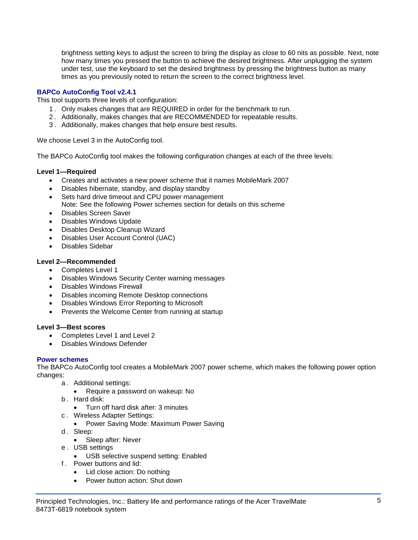brightness setting keys to adjust the screen to bring the display as close to 60 nits as possible. Next, note how many times you pressed the button to achieve the desired brightness. After unplugging the system under test, use the keyboard to set the desired brightness by pressing the brightness button as many times as you previously noted to return the screen to the correct brightness level.

### **BAPCo AutoConfig Tool v2.4.1**

This tool supports three levels of configuration:

- 1 . Only makes changes that are REQUIRED in order for the benchmark to run.
- 2 . Additionally, makes changes that are RECOMMENDED for repeatable results.
- 3 . Additionally, makes changes that help ensure best results.

We choose Level 3 in the AutoConfig tool.

The BAPCo AutoConfig tool makes the following configuration changes at each of the three levels:

#### **Level 1—Required**

- Creates and activates a new power scheme that it names MobileMark 2007
- Disables hibernate, standby, and display standby
- Sets hard drive timeout and CPU power management
- Note: See the following Power schemes section for details on this scheme
- Disables Screen Saver
- Disables Windows Update
- Disables Desktop Cleanup Wizard
- Disables User Account Control (UAC)
- Disables Sidebar

#### **Level 2—Recommended**

- Completes Level 1
- Disables Windows Security Center warning messages
- Disables Windows Firewall
- Disables incoming Remote Desktop connections
- Disables Windows Error Reporting to Microsoft
- Prevents the Welcome Center from running at startup

#### **Level 3—Best scores**

- Completes Level 1 and Level 2
- Disables Windows Defender

#### **Power schemes**

The BAPCo AutoConfig tool creates a MobileMark 2007 power scheme, which makes the following power option changes:

- a . Additional settings:
	- Require a password on wakeup: No
- b . Hard disk:
	- Turn off hard disk after: 3 minutes
- c . Wireless Adapter Settings:
	- Power Saving Mode: Maximum Power Saving
- d. Sleep:
	- Sleep after: Never
- e . USB settings
	- USB selective suspend setting: Enabled
- f . Power buttons and lid:
	- Lid close action: Do nothing
	- Power button action: Shut down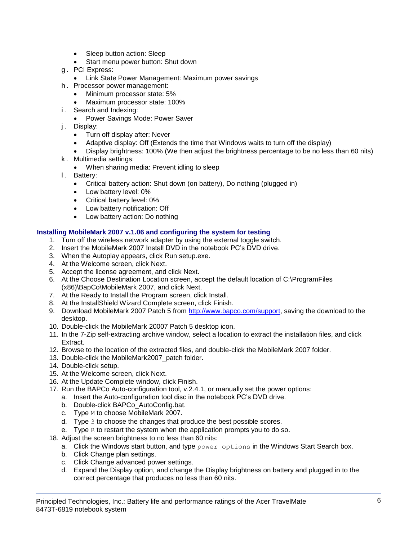- Sleep button action: Sleep
- Start menu power button: Shut down
- g . PCI Express:
	- **Link State Power Management: Maximum power savings**
- h . Processor power management:
	- Minimum processor state: 5%
	- Maximum processor state: 100%
- i. Search and Indexing:
	- Power Savings Mode: Power Saver
- j. Display:
	- Turn off display after: Never
	- Adaptive display: Off (Extends the time that Windows waits to turn off the display)
	- Display brightness: 100% (We then adjust the brightness percentage to be no less than 60 nits)
- k . Multimedia settings:
	- When sharing media: Prevent idling to sleep
- l. Battery:
	- Critical battery action: Shut down (on battery), Do nothing (plugged in)
	- Low battery level: 0%
	- Critical battery level: 0%
	- Low battery notification: Off
	- Low battery action: Do nothing

### **Installing MobileMark 2007 v.1.06 and configuring the system for testing**

- 1. Turn off the wireless network adapter by using the external toggle switch.
- 2. Insert the MobileMark 2007 Install DVD in the notebook PC's DVD drive.
- 3. When the Autoplay appears, click Run setup.exe.
- 4. At the Welcome screen, click Next.
- 5. Accept the license agreement, and click Next.
- 6. At the Choose Destination Location screen, accept the default location of C:\ProgramFiles (x86)\BapCo\MobileMark 2007, and click Next.
- 7. At the Ready to Install the Program screen, click Install.
- 8. At the InstallShield Wizard Complete screen, click Finish.
- 9. Download MobileMark 2007 Patch 5 from [http://www.bapco.com/support,](http://www.bapco.com/support) saving the download to the desktop.
- 10. Double-click the MobileMark 20007 Patch 5 desktop icon.
- 11. In the 7-Zip self-extracting archive window, select a location to extract the installation files, and click Extract.
- 12. Browse to the location of the extracted files, and double-click the MobileMark 2007 folder.
- 13. Double-click the MobileMark2007\_patch folder.
- 14. Double-click setup.
- 15. At the Welcome screen, click Next.
- 16. At the Update Complete window, click Finish.
- 17. Run the BAPCo Auto-configuration tool, v.2.4.1, or manually set the power options:
	- a. Insert the Auto-configuration tool disc in the notebook PC's DVD drive.
	- b. Double-click BAPCo\_AutoConfig.bat.
	- c. Type M to choose MobileMark 2007.
	- d. Type 3 to choose the changes that produce the best possible scores.
	- e. Type  $R$  to restart the system when the application prompts you to do so.
- 18. Adjust the screen brightness to no less than 60 nits:
	- a. Click the Windows start button, and type  $power$  options in the Windows Start Search box.
	- b. Click Change plan settings.
	- c. Click Change advanced power settings.
	- d. Expand the Display option, and change the Display brightness on battery and plugged in to the correct percentage that produces no less than 60 nits.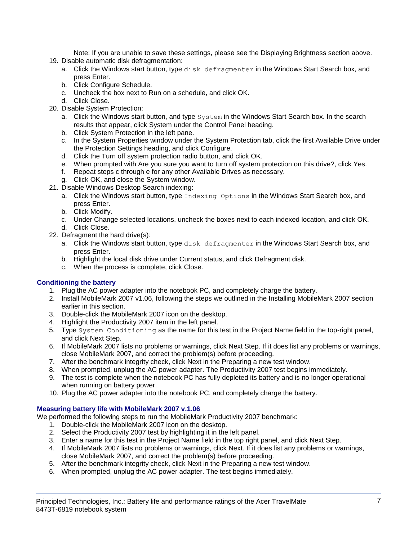Note: If you are unable to save these settings, please see the Displaying Brightness section above.

- 19. Disable automatic disk defragmentation:
	- a. Click the Windows start button, type disk defragmenter in the Windows Start Search box, and press Enter.
	- b. Click Configure Schedule.
	- c. Uncheck the box next to Run on a schedule, and click OK.
	- d. Click Close.
- 20. Disable System Protection:
	- a. Click the Windows start button, and type System in the Windows Start Search box. In the search results that appear, click System under the Control Panel heading.
	- b. Click System Protection in the left pane.
	- c. In the System Properties window under the System Protection tab, click the first Available Drive under the Protection Settings heading, and click Configure.
	- d. Click the Turn off system protection radio button, and click OK.
	- e. When prompted with Are you sure you want to turn off system protection on this drive?, click Yes.
	- f. Repeat steps c through e for any other Available Drives as necessary.
	- g. Click OK, and close the System window.
- 21. Disable Windows Desktop Search indexing:
	- a. Click the Windows start button, type Indexing Options in the Windows Start Search box, and press Enter.
	- b. Click Modify.
	- c. Under Change selected locations, uncheck the boxes next to each indexed location, and click OK. d. Click Close.
- 22. Defragment the hard drive(s):
	- a. Click the Windows start button, type disk defragmenter in the Windows Start Search box, and press Enter.
	- b. Highlight the local disk drive under Current status, and click Defragment disk.
	- c. When the process is complete, click Close.

### **Conditioning the battery**

- 1. Plug the AC power adapter into the notebook PC, and completely charge the battery.
- 2. Install MobileMark 2007 v1.06, following the steps we outlined in the Installing MobileMark 2007 section earlier in this section.
- 3. Double-click the MobileMark 2007 icon on the desktop.
- 4. Highlight the Productivity 2007 item in the left panel.
- 5. Type System Conditioning as the name for this test in the Project Name field in the top-right panel, and click Next Step.
- 6. If MobileMark 2007 lists no problems or warnings, click Next Step. If it does list any problems or warnings, close MobileMark 2007, and correct the problem(s) before proceeding.
- 7. After the benchmark integrity check, click Next in the Preparing a new test window.
- 8. When prompted, unplug the AC power adapter. The Productivity 2007 test begins immediately.
- 9. The test is complete when the notebook PC has fully depleted its battery and is no longer operational when running on battery power.
- 10. Plug the AC power adapter into the notebook PC, and completely charge the battery.

#### **Measuring battery life with MobileMark 2007 v.1.06**

We performed the following steps to run the MobileMark Productivity 2007 benchmark:

- 1. Double-click the MobileMark 2007 icon on the desktop.
- 2. Select the Productivity 2007 test by highlighting it in the left panel.
- 3. Enter a name for this test in the Project Name field in the top right panel, and click Next Step.
- 4. If MobileMark 2007 lists no problems or warnings, click Next. If it does list any problems or warnings, close MobileMark 2007, and correct the problem(s) before proceeding.
- 5. After the benchmark integrity check, click Next in the Preparing a new test window.
- 6. When prompted, unplug the AC power adapter. The test begins immediately.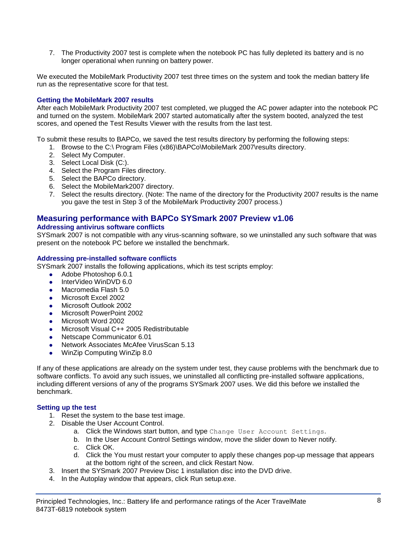7. The Productivity 2007 test is complete when the notebook PC has fully depleted its battery and is no longer operational when running on battery power.

We executed the MobileMark Productivity 2007 test three times on the system and took the median battery life run as the representative score for that test.

#### **Getting the MobileMark 2007 results**

After each MobileMark Productivity 2007 test completed, we plugged the AC power adapter into the notebook PC and turned on the system. MobileMark 2007 started automatically after the system booted, analyzed the test scores, and opened the Test Results Viewer with the results from the last test.

To submit these results to BAPCo, we saved the test results directory by performing the following steps:

- 1. Browse to the C:\ Program Files (x86)\BAPCo\MobileMark 2007\results directory.
- 2. Select My Computer.
- 3. Select Local Disk (C:).
- 4. Select the Program Files directory.
- 5. Select the BAPCo directory.
- 6. Select the MobileMark2007 directory.
- 7. Select the results directory. (Note: The name of the directory for the Productivity 2007 results is the name you gave the test in Step 3 of the MobileMark Productivity 2007 process.)

### **Measuring performance with BAPCo SYSmark 2007 Preview v1.06**

#### **Addressing antivirus software conflicts**

SYSmark 2007 is not compatible with any virus-scanning software, so we uninstalled any such software that was present on the notebook PC before we installed the benchmark.

#### **Addressing pre-installed software conflicts**

SYSmark 2007 installs the following applications, which its test scripts employ:

- Adobe Photoshop 6.0.1
- InterVideo WinDVD 6.0
- Macromedia Flash 5.0
- Microsoft Excel 2002
- Microsoft Outlook 2002
- Microsoft PowerPoint 2002
- Microsoft Word 2002
- Microsoft Visual C++ 2005 Redistributable
- Netscape Communicator 6.01
- Network Associates McAfee VirusScan 5.13
- WinZip Computing WinZip 8.0

If any of these applications are already on the system under test, they cause problems with the benchmark due to software conflicts. To avoid any such issues, we uninstalled all conflicting pre-installed software applications, including different versions of any of the programs SYSmark 2007 uses. We did this before we installed the benchmark.

#### **Setting up the test**

- 1. Reset the system to the base test image.
- 2. Disable the User Account Control.
	- a. Click the Windows start button, and type Change User Account Settings.
	- b. In the User Account Control Settings window, move the slider down to Never notify.
	- c. Click OK.
	- d. Click the You must restart your computer to apply these changes pop-up message that appears at the bottom right of the screen, and click Restart Now.
- 3. Insert the SYSmark 2007 Preview Disc 1 installation disc into the DVD drive.
- 4. In the Autoplay window that appears, click Run setup.exe.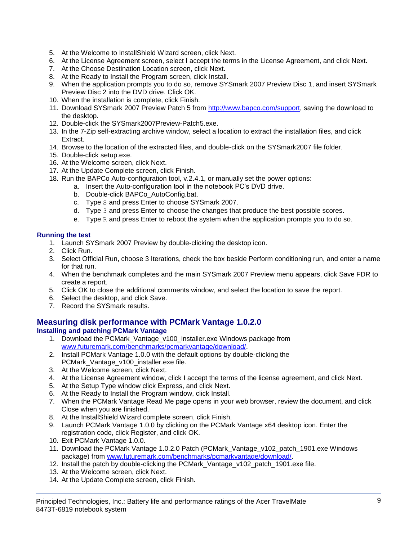- 5. At the Welcome to InstallShield Wizard screen, click Next.
- 6. At the License Agreement screen, select I accept the terms in the License Agreement, and click Next.
- 7. At the Choose Destination Location screen, click Next.
- 8. At the Ready to Install the Program screen, click Install.
- 9. When the application prompts you to do so, remove SYSmark 2007 Preview Disc 1, and insert SYSmark Preview Disc 2 into the DVD drive. Click OK.
- 10. When the installation is complete, click Finish.
- 11. Download SYSmark 2007 Preview Patch 5 from [http://www.bapco.com/support,](http://www.bapco.com/support) saving the download to the desktop.
- 12. Double-click the SYSmark2007Preview-Patch5.exe.
- 13. In the 7-Zip self-extracting archive window, select a location to extract the installation files, and click Extract.
- 14. Browse to the location of the extracted files, and double-click on the SYSmark2007 file folder.
- 15. Double-click setup.exe.
- 16. At the Welcome screen, click Next.
- 17. At the Update Complete screen, click Finish.
- 18. Run the BAPCo Auto-configuration tool, v.2.4.1, or manually set the power options:
	- a. Insert the Auto-configuration tool in the notebook PC's DVD drive.
		- b. Double-click BAPCo\_AutoConfig.bat.
		- c. Type S and press Enter to choose SYSmark 2007.
		- d. Type 3 and press Enter to choose the changes that produce the best possible scores.
		- e. Type  $R$  and press Enter to reboot the system when the application prompts you to do so.

### **Running the test**

- 1. Launch SYSmark 2007 Preview by double-clicking the desktop icon.
- 2. Click Run.
- 3. Select Official Run, choose 3 Iterations, check the box beside Perform conditioning run, and enter a name for that run.
- 4. When the benchmark completes and the main SYSmark 2007 Preview menu appears, click Save FDR to create a report.
- 5. Click OK to close the additional comments window, and select the location to save the report.
- 6. Select the desktop, and click Save.
- 7. Record the SYSmark results.

# **Measuring disk performance with PCMark Vantage 1.0.2.0**

### **Installing and patching PCMark Vantage**

- 1. Download the PCMark\_Vantage\_v100\_installer.exe Windows package from [www.futuremark.com/benchmarks/pcmarkvantage/download/.](http://www.futuremark.com/benchmarks/pcmarkvantage/download/)
- 2. Install PCMark Vantage 1.0.0 with the default options by double-clicking the PCMark\_Vantage\_v100\_installer.exe file.
- 3. At the Welcome screen, click Next.
- 4. At the License Agreement window, click I accept the terms of the license agreement, and click Next.
- 5. At the Setup Type window click Express, and click Next.
- 6. At the Ready to Install the Program window, click Install.
- 7. When the PCMark Vantage Read Me page opens in your web browser, review the document, and click Close when you are finished.
- 8. At the InstallShield Wizard complete screen, click Finish.
- 9. Launch PCMark Vantage 1.0.0 by clicking on the PCMark Vantage x64 desktop icon. Enter the registration code, click Register, and click OK.
- 10. Exit PCMark Vantage 1.0.0.
- 11. Download the PCMark Vantage 1.0.2.0 Patch (PCMark\_Vantage\_v102\_patch\_1901.exe Windows package) from [www.futuremark.com/benchmarks/pcmarkvantage/download/.](http://www.futuremark.com/benchmarks/pcmarkvantage/download/)
- 12. Install the patch by double-clicking the PCMark\_Vantage\_v102\_patch\_1901.exe file.
- 13. At the Welcome screen, click Next.
- 14. At the Update Complete screen, click Finish.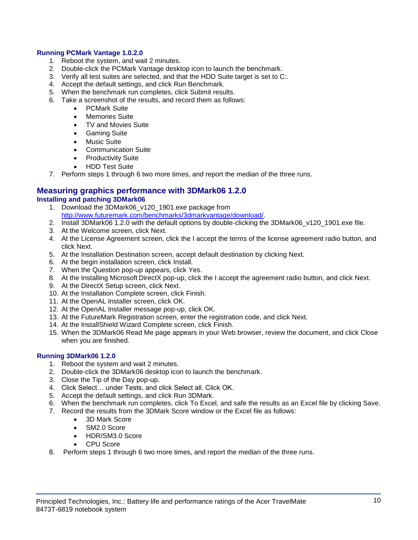#### **Running PCMark Vantage 1.0.2.0**

- 1. Reboot the system, and wait 2 minutes.
- 2. Double-click the PCMark Vantage desktop icon to launch the benchmark.
- 3. Verify all test suites are selected, and that the HDD Suite target is set to C:.
- 4. Accept the default settings, and click Run Benchmark.
- 5. When the benchmark run completes, click Submit results.
- 6. Take a screenshot of the results, and record them as follows:
	- PCMark Suite
	- Memories Suite
	- TV and Movies Suite
	- **•** Gaming Suite
	- Music Suite
	- Communication Suite
	- Productivity Suite
	- HDD Test Suite
- 7. Perform steps 1 through 6 two more times, and report the median of the three runs.

#### **Measuring graphics performance with 3DMark06 1.2.0 Installing and patching 3DMark06**

- 1. Download the 3DMark06 v120 1901.exe package from [http://www.futuremark.com/benchmarks/3dmarkvantage/download/.](http://www.futuremark.com/benchmarks/3dmarkvantage/download/)
- 2. Install 3DMark06 1.2.0 with the default options by double-clicking the 3DMark06\_v120\_1901.exe file.
- 3. At the Welcome screen, click Next.
- 4. At the License Agreement screen, click the I accept the terms of the license agreement radio button, and click Next.
- 5. At the Installation Destination screen, accept default destination by clicking Next.
- 6. At the begin installation screen, click Install.
- 7. When the Question pop-up appears, click Yes.
- 8. At the Installing Microsoft DirectX pop-up, click the I accept the agreement radio button, and click Next.
- 9. At the DirectX Setup screen, click Next.
- 10. At the Installation Complete screen, click Finish.
- 11. At the OpenAL Installer screen, click OK.
- 12. At the OpenAL Installer message pop-up, click OK.
- 13. At the FutureMark Registration screen, enter the registration code, and click Next.
- 14. At the InstallShield Wizard Complete screen, click Finish.
- 15. When the 3DMark06 Read Me page appears in your Web browser, review the document, and click Close when you are finished.

#### **Running 3DMark06 1.2.0**

- 1. Reboot the system and wait 2 minutes.
- 2. Double-click the 3DMark06 desktop icon to launch the benchmark.
- 3. Close the Tip of the Day pop-up.
- 4. Click Select… under Tests, and click Select all. Click OK.
- 5. Accept the default settings, and click Run 3DMark.
- 6. When the benchmark run completes, click To Excel, and safe the results as an Excel file by clicking Save.
- 7. Record the results from the 3DMark Score window or the Excel file as follows:
	- 3D Mark Score
	- SM2.0 Score
	- HDR/SM3.0 Score
	- CPU Score
- 8. Perform steps 1 through 6 two more times, and report the median of the three runs.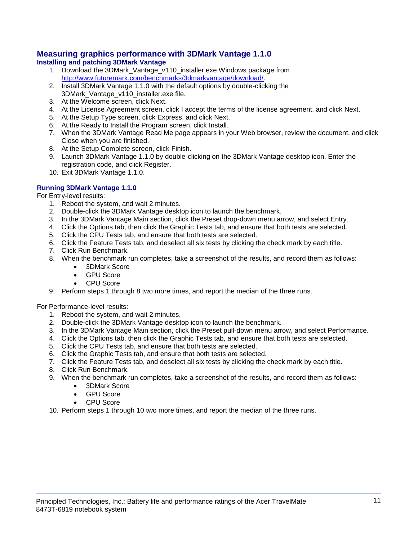# **Measuring graphics performance with 3DMark Vantage 1.1.0**

## **Installing and patching 3DMark Vantage**

- 1. Download the 3DMark Vantage v110 installer.exe Windows package from [http://www.futuremark.com/benchmarks/3dmarkvantage/download/.](http://www.futuremark.com/benchmarks/3dmarkvantage/download/)
- 2. Install 3DMark Vantage 1.1.0 with the default options by double-clicking the 3DMark\_Vantage\_v110\_installer.exe file.
- 3. At the Welcome screen, click Next.
- 4. At the License Agreement screen, click I accept the terms of the license agreement, and click Next.
- 5. At the Setup Type screen, click Express, and click Next.
- 6. At the Ready to Install the Program screen, click Install.
- 7. When the 3DMark Vantage Read Me page appears in your Web browser, review the document, and click Close when you are finished.
- 8. At the Setup Complete screen, click Finish.
- 9. Launch 3DMark Vantage 1.1.0 by double-clicking on the 3DMark Vantage desktop icon. Enter the registration code, and click Register.
- 10. Exit 3DMark Vantage 1.1.0.

### **Running 3DMark Vantage 1.1.0**

For Entry-level results:

- 1. Reboot the system, and wait 2 minutes.
- 2. Double-click the 3DMark Vantage desktop icon to launch the benchmark.
- 3. In the 3DMark Vantage Main section, click the Preset drop-down menu arrow, and select Entry.
- 4. Click the Options tab, then click the Graphic Tests tab, and ensure that both tests are selected.
- 5. Click the CPU Tests tab, and ensure that both tests are selected.
- 6. Click the Feature Tests tab, and deselect all six tests by clicking the check mark by each title.
- 7. Click Run Benchmark.
- 8. When the benchmark run completes, take a screenshot of the results, and record them as follows:
	- 3DMark Score
		- GPU Score
		- CPU Score
- 9. Perform steps 1 through 8 two more times, and report the median of the three runs.

For Performance-level results:

- 1. Reboot the system, and wait 2 minutes.
- 2. Double-click the 3DMark Vantage desktop icon to launch the benchmark.
- 3. In the 3DMark Vantage Main section, click the Preset pull-down menu arrow, and select Performance.
- 4. Click the Options tab, then click the Graphic Tests tab, and ensure that both tests are selected.
- 5. Click the CPU Tests tab, and ensure that both tests are selected.
- 6. Click the Graphic Tests tab, and ensure that both tests are selected.
- 7. Click the Feature Tests tab, and deselect all six tests by clicking the check mark by each title.
- 8. Click Run Benchmark.
- 9. When the benchmark run completes, take a screenshot of the results, and record them as follows:
	- 3DMark Score
	- GPU Score
	- CPU Score
- 10. Perform steps 1 through 10 two more times, and report the median of the three runs.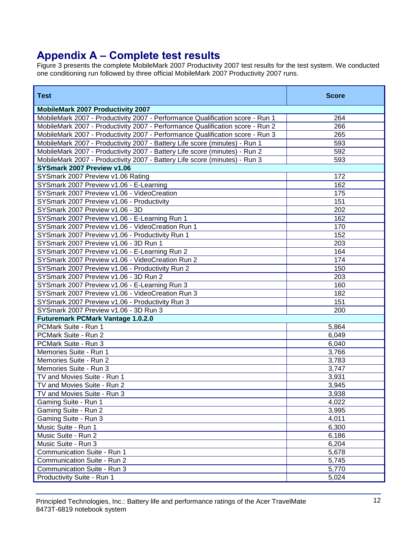# **Appendix A – Complete test results**

Figure 3 presents the complete MobileMark 2007 Productivity 2007 test results for the test system. We conducted one conditioning run followed by three official MobileMark 2007 Productivity 2007 runs.

| <b>Test</b>                                                                   | <b>Score</b> |
|-------------------------------------------------------------------------------|--------------|
| <b>MobileMark 2007 Productivity 2007</b>                                      |              |
| MobileMark 2007 - Productivity 2007 - Performance Qualification score - Run 1 | 264          |
| MobileMark 2007 - Productivity 2007 - Performance Qualification score - Run 2 | 266          |
| MobileMark 2007 - Productivity 2007 - Performance Qualification score - Run 3 | 265          |
| MobileMark 2007 - Productivity 2007 - Battery Life score (minutes) - Run 1    | 593          |
| MobileMark 2007 - Productivity 2007 - Battery Life score (minutes) - Run 2    | 592          |
| MobileMark 2007 - Productivity 2007 - Battery Life score (minutes) - Run 3    | 593          |
| SYSmark 2007 Preview v1.06                                                    |              |
| SYSmark 2007 Preview v1.06 Rating                                             | 172          |
| SYSmark 2007 Preview v1.06 - E-Learning                                       | 162          |
| SYSmark 2007 Preview v1.06 - VideoCreation                                    | 175          |
| SYSmark 2007 Preview v1.06 - Productivity                                     | 151          |
| SYSmark 2007 Preview v1.06 - 3D                                               | 202          |
| SYSmark 2007 Preview v1.06 - E-Learning Run 1                                 | 162          |
| SYSmark 2007 Preview v1.06 - VideoCreation Run 1                              | 170          |
| SYSmark 2007 Preview v1.06 - Productivity Run 1                               | 152          |
| SYSmark 2007 Preview v1.06 - 3D Run 1                                         | 203          |
| SYSmark 2007 Preview v1.06 - E-Learning Run 2                                 | 164          |
| SYSmark 2007 Preview v1.06 - VideoCreation Run 2                              | 174          |
| SYSmark 2007 Preview v1.06 - Productivity Run 2                               | 150          |
| SYSmark 2007 Preview v1.06 - 3D Run 2                                         | 203          |
| SYSmark 2007 Preview v1.06 - E-Learning Run 3                                 | 160          |
| SYSmark 2007 Preview v1.06 - VideoCreation Run 3                              | 182          |
| SYSmark 2007 Preview v1.06 - Productivity Run 3                               | 151          |
| SYSmark 2007 Preview v1.06 - 3D Run 3                                         | 200          |
| <b>Futuremark PCMark Vantage 1.0.2.0</b>                                      |              |
| PCMark Suite - Run 1                                                          | 5,864        |
| PCMark Suite - Run 2                                                          | 6,049        |
| PCMark Suite - Run 3                                                          | 6,040        |
| Memories Suite - Run 1                                                        | 3,766        |
| Memories Suite - Run 2                                                        | 3,783        |
| Memories Suite - Run 3                                                        | 3,747        |
| TV and Movies Suite - Run 1                                                   | 3,931        |
| TV and Movies Suite - Run 2                                                   | 3,945        |
| TV and Movies Suite - Run 3                                                   | 3,938        |
| Gaming Suite - Run 1                                                          | 4,022        |
| Gaming Suite - Run 2                                                          | 3,995        |
| Gaming Suite - Run 3                                                          | 4,011        |
| Music Suite - Run 1                                                           | 6,300        |
| Music Suite - Run 2                                                           | 6,186        |
| Music Suite - Run 3                                                           | 6,204        |
| Communication Suite - Run 1                                                   | 5,678        |
| Communication Suite - Run 2                                                   | 5,745        |
| Communication Suite - Run 3                                                   | 5,770        |
| Productivity Suite - Run 1                                                    | 5,024        |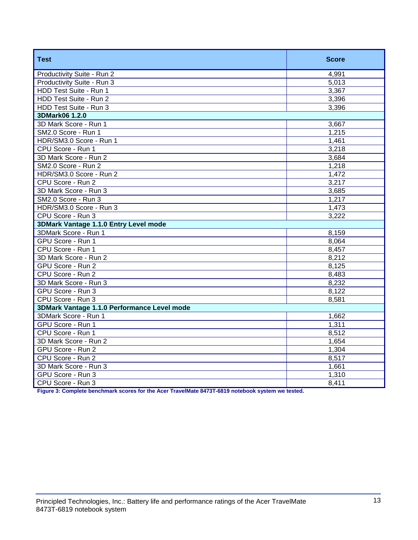| <b>Test</b>                                 | <b>Score</b> |
|---------------------------------------------|--------------|
| Productivity Suite - Run 2                  | 4,991        |
| Productivity Suite - Run 3                  | 5,013        |
| HDD Test Suite - Run 1                      | 3,367        |
| HDD Test Suite - Run 2                      | 3,396        |
| HDD Test Suite - Run 3                      | 3,396        |
| 3DMark06 1.2.0                              |              |
| 3D Mark Score - Run 1                       | 3,667        |
| SM2.0 Score - Run 1                         | 1,215        |
| HDR/SM3.0 Score - Run 1                     | 1,461        |
| CPU Score - Run 1                           | 3,218        |
| 3D Mark Score - Run 2                       | 3,684        |
| SM2.0 Score - Run 2                         | 1,218        |
| HDR/SM3.0 Score - Run 2                     | 1,472        |
| CPU Score - Run 2                           | 3,217        |
| 3D Mark Score - Run 3                       | 3,685        |
| SM2.0 Score - Run 3                         | 1,217        |
| HDR/SM3.0 Score - Run 3                     | 1,473        |
| CPU Score - Run 3                           | 3,222        |
| 3DMark Vantage 1.1.0 Entry Level mode       |              |
| 3DMark Score - Run 1                        | 8,159        |
| GPU Score - Run 1                           | 8,064        |
| CPU Score - Run 1                           | 8,457        |
| 3D Mark Score - Run 2                       | 8,212        |
| GPU Score - Run 2                           | 8,125        |
| CPU Score - Run 2                           | 8,483        |
| 3D Mark Score - Run 3                       | 8,232        |
| GPU Score - Run 3                           | 8,122        |
| CPU Score - Run 3                           | 8,581        |
| 3DMark Vantage 1.1.0 Performance Level mode |              |
| 3DMark Score - Run 1                        | 1,662        |
| GPU Score - Run 1                           | 1,311        |
| CPU Score - Run 1                           | 8,512        |
| 3D Mark Score - Run 2                       | 1,654        |
| GPU Score - Run 2                           | 1,304        |
| CPU Score - Run 2                           | 8,517        |
| 3D Mark Score - Run 3                       | 1,661        |
| GPU Score - Run 3                           | 1,310        |
| CPU Score - Run 3                           | 8,411        |

**Figure 3: Complete benchmark scores for the Acer TravelMate 8473T-6819 notebook system we tested.**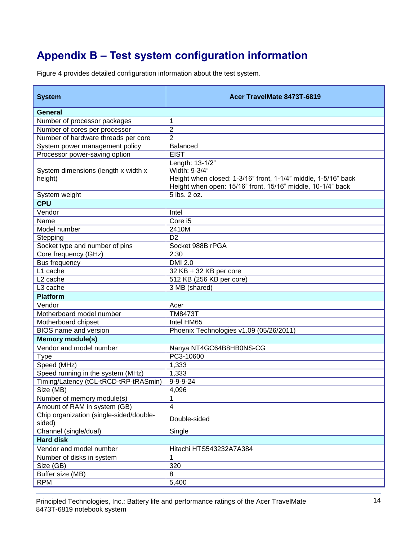# **Appendix B – Test system configuration information**

Figure 4 provides detailed configuration information about the test system.

| <b>System</b>                                       | Acer TravelMate 8473T-6819                                                                                                                                        |
|-----------------------------------------------------|-------------------------------------------------------------------------------------------------------------------------------------------------------------------|
| <b>General</b>                                      |                                                                                                                                                                   |
| Number of processor packages                        | 1                                                                                                                                                                 |
| Number of cores per processor                       | $\overline{2}$                                                                                                                                                    |
| Number of hardware threads per core                 | $\overline{2}$                                                                                                                                                    |
| System power management policy                      | <b>Balanced</b>                                                                                                                                                   |
| Processor power-saving option                       | <b>EIST</b>                                                                                                                                                       |
| System dimensions (length x width x<br>height)      | Length: 13-1/2"<br>Width: 9-3/4"<br>Height when closed: 1-3/16" front, 1-1/4" middle, 1-5/16" back<br>Height when open: 15/16" front, 15/16" middle, 10-1/4" back |
| System weight                                       | 5 lbs. 2 oz.                                                                                                                                                      |
| <b>CPU</b>                                          |                                                                                                                                                                   |
| Vendor                                              | Intel                                                                                                                                                             |
| Name                                                | Core i5                                                                                                                                                           |
| Model number                                        | 2410M                                                                                                                                                             |
| Stepping                                            | D <sub>2</sub>                                                                                                                                                    |
| Socket type and number of pins                      | Socket 988B rPGA                                                                                                                                                  |
| Core frequency (GHz)                                | 2.30                                                                                                                                                              |
| Bus frequency                                       | <b>DMI 2.0</b>                                                                                                                                                    |
| $\overline{L}$ 1 cache                              | 32 KB + 32 KB per core                                                                                                                                            |
| L <sub>2</sub> cache                                | 512 KB (256 KB per core)                                                                                                                                          |
| L3 cache                                            | 3 MB (shared)                                                                                                                                                     |
| <b>Platform</b>                                     |                                                                                                                                                                   |
| Vendor                                              | Acer                                                                                                                                                              |
| Motherboard model number                            | <b>TM8473T</b>                                                                                                                                                    |
| Motherboard chipset<br><b>BIOS</b> name and version | Intel HM65                                                                                                                                                        |
|                                                     | Phoenix Technologies v1.09 (05/26/2011)                                                                                                                           |
| <b>Memory module(s)</b><br>Vendor and model number  |                                                                                                                                                                   |
|                                                     | Nanya NT4GC64B8HB0NS-CG<br>PC3-10600                                                                                                                              |
| <b>Type</b><br>Speed (MHz)                          | 1,333                                                                                                                                                             |
| Speed running in the system (MHz)                   | 1,333                                                                                                                                                             |
| Timing/Latency (tCL-tRCD-tRP-tRASmin)               | $9 - 9 - 9 - 24$                                                                                                                                                  |
| Size (MB)                                           | 4,096                                                                                                                                                             |
| Number of memory module(s)                          | 1                                                                                                                                                                 |
| Amount of RAM in system (GB)                        | 4                                                                                                                                                                 |
| Chip organization (single-sided/double-<br>sided)   | Double-sided                                                                                                                                                      |
| Channel (single/dual)                               | Single                                                                                                                                                            |
| <b>Hard disk</b>                                    |                                                                                                                                                                   |
| Vendor and model number                             | Hitachi HTS543232A7A384                                                                                                                                           |
| Number of disks in system                           |                                                                                                                                                                   |
| Size (GB)                                           | 320                                                                                                                                                               |
| Buffer size (MB)                                    | 8                                                                                                                                                                 |
| <b>RPM</b>                                          | 5,400                                                                                                                                                             |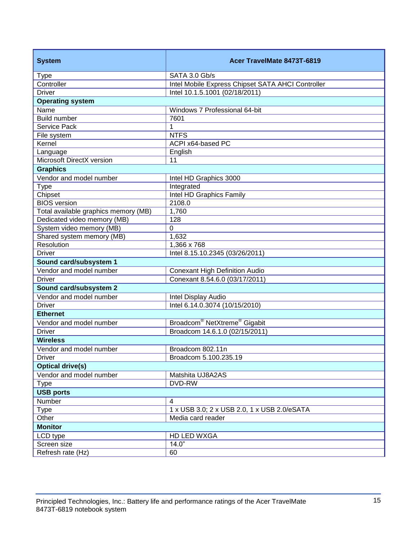| <b>System</b>                        | Acer TravelMate 8473T-6819                           |
|--------------------------------------|------------------------------------------------------|
| <b>Type</b>                          | SATA 3.0 Gb/s                                        |
| Controller                           | Intel Mobile Express Chipset SATA AHCI Controller    |
| <b>Driver</b>                        | Intel 10.1.5.1001 (02/18/2011)                       |
| <b>Operating system</b>              |                                                      |
| Name                                 | Windows 7 Professional 64-bit                        |
| <b>Build number</b>                  | 7601                                                 |
| Service Pack                         | 1                                                    |
| File system                          | <b>NTFS</b>                                          |
| Kernel                               | ACPI x64-based PC                                    |
| Language                             | English                                              |
| Microsoft DirectX version            | 11                                                   |
| <b>Graphics</b>                      |                                                      |
| Vendor and model number              | Intel HD Graphics 3000                               |
| <b>Type</b>                          | Integrated                                           |
| Chipset                              | Intel HD Graphics Family                             |
| <b>BIOS</b> version                  | 2108.0                                               |
| Total available graphics memory (MB) | 1,760                                                |
| Dedicated video memory (MB)          | 128                                                  |
| System video memory (MB)             | 0                                                    |
| Shared system memory (MB)            | 1,632                                                |
| Resolution                           | 1,366 x 768                                          |
| <b>Driver</b>                        | Intel 8.15.10.2345 (03/26/2011)                      |
| Sound card/subsystem 1               |                                                      |
| Vendor and model number              | <b>Conexant High Definition Audio</b>                |
| <b>Driver</b>                        | Conexant 8.54.6.0 (03/17/2011)                       |
| Sound card/subsystem 2               |                                                      |
| Vendor and model number              | Intel Display Audio                                  |
| <b>Driver</b>                        | Intel 6.14.0.3074 (10/15/2010)                       |
| <b>Ethernet</b>                      |                                                      |
| Vendor and model number              | Broadcom <sup>®</sup> NetXtreme <sup>®</sup> Gigabit |
| <b>Driver</b>                        | Broadcom 14.6.1.0 (02/15/2011)                       |
| <b>Wireless</b>                      |                                                      |
| Vendor and model number              | Broadcom 802.11n                                     |
| Driver                               | Broadcom 5.100.235.19                                |
| <b>Optical drive(s)</b>              |                                                      |
| Vendor and model number              | Matshita UJ8A2AS                                     |
| <b>Type</b>                          | DVD-RW                                               |
| <b>USB ports</b>                     |                                                      |
| Number                               | $\overline{\mathbf{4}}$                              |
| <b>Type</b>                          | 1 x USB 3.0; 2 x USB 2.0, 1 x USB 2.0/eSATA          |
| Other                                | Media card reader                                    |
| <b>Monitor</b>                       |                                                      |
| LCD type                             | HD LED WXGA                                          |
| Screen size                          | 14.0"                                                |
| Refresh rate (Hz)                    | 60                                                   |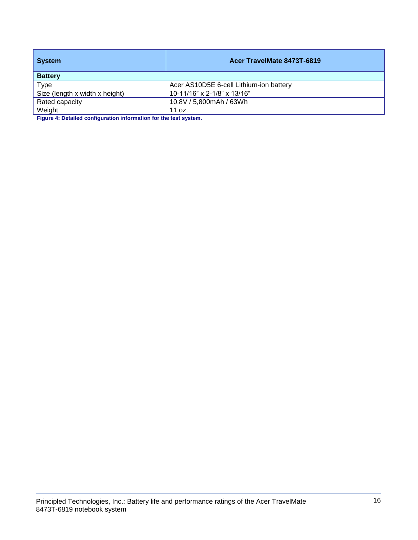| <b>System</b>                  | Acer TravelMate 8473T-6819              |
|--------------------------------|-----------------------------------------|
| <b>Battery</b>                 |                                         |
| Type                           | Acer AS10D5E 6-cell Lithium-ion battery |
| Size (length x width x height) | 10-11/16" x 2-1/8" x 13/16"             |
| Rated capacity                 | 10.8V / 5,800mAh / 63Wh                 |
| Weight                         | 11 oz.                                  |

**Figure 4: Detailed configuration information for the test system.**